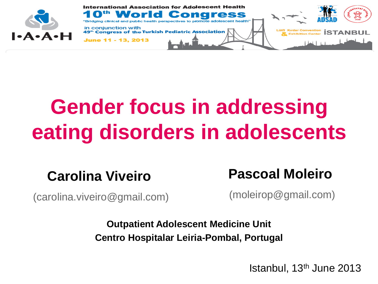

## **Gender focus in addressing eating disorders in adolescents**

#### **Carolina Viveiro**

(carolina.viveiro@gmail.com)

**Pascoal Moleiro**

(moleirop@gmail.com)

**Outpatient Adolescent Medicine Unit Centro Hospitalar Leiria-Pombal, Portugal**

Istanbul, 13th June 2013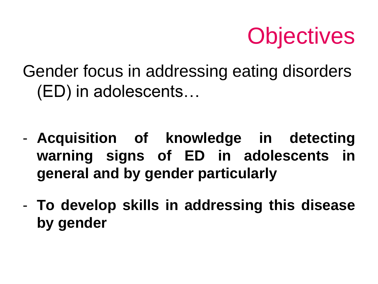

Gender focus in addressing eating disorders (ED) in adolescents…

- **Acquisition of knowledge in detecting warning signs of ED in adolescents in general and by gender particularly**
- **To develop skills in addressing this disease by gender**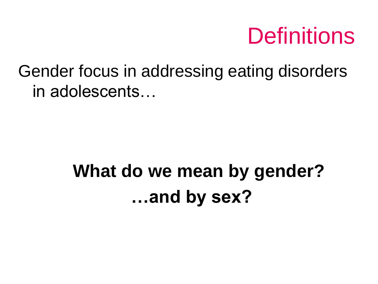

Gender focus in addressing eating disorders in adolescents…

### **What do we mean by gender? …and by sex?**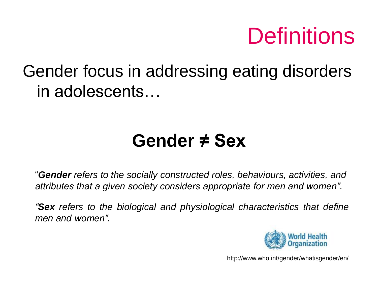## **Definitions**

### Gender focus in addressing eating disorders in adolescents…

### **Gender ≠ Sex**

"*Gender refers to the socially constructed roles, behaviours, activities, and attributes that a given society considers appropriate for men and women".* 

*"Sex refers to the biological and physiological characteristics that define men and women".*



http://www.who.int/gender/whatisgender/en/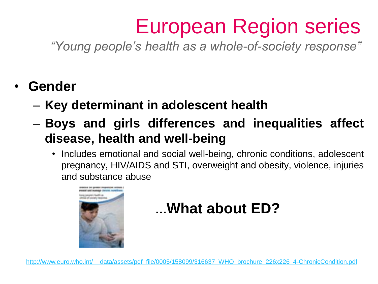## European Region series

*"Young people's health as a whole-of-society response"*

- **Gender**
	- **Key determinant in adolescent health**
	- **Boys and girls differences and inequalities affect disease, health and well-being**
		- Includes emotional and social well-being, chronic conditions, adolescent pregnancy, HIV/AIDS and STI, overweight and obesity, violence, injuries and substance abuse



### **…What about ED?**

[http://www.euro.who.int/\\_\\_data/assets/pdf\\_file/0005/158099/316637\\_WHO\\_brochure\\_226x226\\_4-ChronicCondition.pdf](http://www.euro.who.int/__data/assets/pdf_file/0005/158099/316637_WHO_brochure_226x226_4-ChronicCondition.pdf)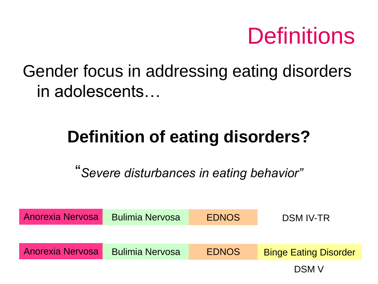## **Definitions**

Gender focus in addressing eating disorders in adolescents…

### **Definition of eating disorders?**

"*Severe disturbances in eating behavior"*

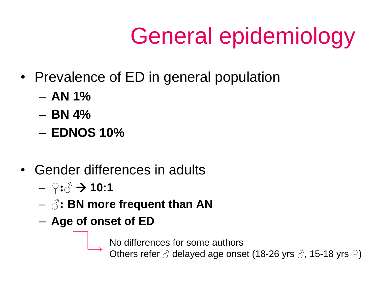# General epidemiology

- Prevalence of ED in general population
	- **AN 1%**
	- **BN 4%**
	- **EDNOS 10%**
- Gender differences in adults
	- **♀:♂ 10:1**
	- **♂: BN more frequent than AN**
	- **Age of onset of ED**

No differences for some authors

Others refer **♂** delayed age onset (18-26 yrs **♂**, 15-18 yrs **♀**)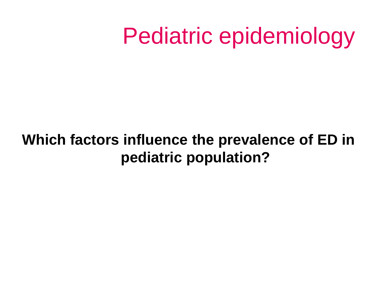#### **Which factors influence the prevalence of ED in pediatric population?**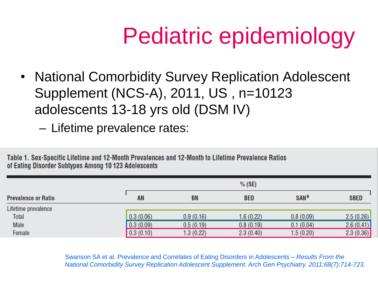• National Comorbidity Survey Replication Adolescent Supplement (NCS-A), 2011, US , n=10123 adolescents 13-18 yrs old (DSM IV)

– Lifetime prevalence rates:

Table 1. Sex-Specific Lifetime and 12-Month Prevalences and 12-Month to Lifetime Prevalence Ratios of Eating Disorder Subtypes Among 10 123 Adolescents

|                            |           | $%$ (SE)  |            |                        |             |  |
|----------------------------|-----------|-----------|------------|------------------------|-------------|--|
| <b>Prevalence or Ratio</b> | <b>AN</b> | <b>BN</b> | <b>BED</b> | <b>SAN<sup>a</sup></b> | <b>SBED</b> |  |
| Lifetime prevalence        |           |           |            |                        |             |  |
| <b>Total</b>               | 0.3(0.06) | 0.9(0.16) | 1.6(0.22)  | 0.8(0.09)              | 2.5(0.26)   |  |
| Male                       | 0.3(0.09) | 0.5(0.19) | 0.8(0.19)  | 0.1(0.04)              | 2.6(0.41)   |  |
| Female                     | 0.3(0.10) | 1.3(0.22) | 2.3(0.40)  | 1.5(0.20)              | 2.3(0.36)   |  |

Swanson SA et al. Prevalence and Correlates of Eating Disorders in Adolescents – *Results From the National Comorbidity Survey Replication Adolescent Supplement. Arch Gen Psychiatry. 2011;68(7):714-723.*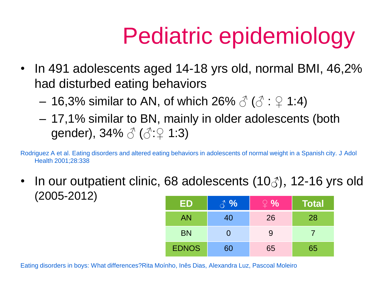- In 491 adolescents aged 14-18 yrs old, normal BMI, 46,2% had disturbed eating behaviors
	- 16,3% similar to AN, of which 26%  $\delta$  ( $\delta$  :  $\Omega$  1:4)
	- 17,1% similar to BN, mainly in older adolescents (both gender),  $34\% \stackrel{\circ}{\circ} (\stackrel{\circ}{\circ}:\stackrel{\circ}{\circ} 1:3)$

Rodriguez A et al. Eating disorders and altered eating behaviors in adolescents of normal weight in a Spanish city. J Adol Health 2001;28:338

• In our outpatient clinic, 68 adolescents  $(10\beta)$ , 12-16 yrs old (2005-2012)

| ΕD           | $\mathcal{C}$ $\mathcal{C}$ | $\frac{1}{2}$ % | <b>Total</b> |
|--------------|-----------------------------|-----------------|--------------|
| <b>AN</b>    | 40                          | 26              | 28           |
| <b>BN</b>    |                             | 9               |              |
| <b>EDNOS</b> | 60                          | 65              | 65           |

Eating disorders in boys: What differences?Rita Moínho, Inês Dias, Alexandra Luz, Pascoal Moleiro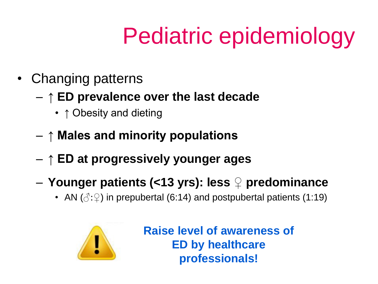- Changing patterns
	- **↑ ED prevalence over the last decade** 
		- ↑ Obesity and dieting
	- **↑ Males and minority populations**
	- **↑ ED at progressively younger ages**
	- **Younger patients (<13 yrs): less ♀ predominance** 
		- AN  $(\text{C}:\text{L})$  in prepubertal (6:14) and postpubertal patients (1:19)



**Raise level of awareness of ED by healthcare professionals!**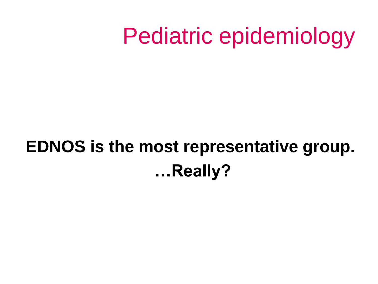### **EDNOS is the most representative group. …Really?**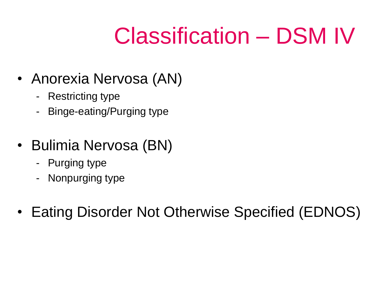# Classification – DSM IV

- Anorexia Nervosa (AN)
	- Restricting type
	- Binge-eating/Purging type
- Bulimia Nervosa (BN)
	- Purging type
	- Nonpurging type
- Eating Disorder Not Otherwise Specified (EDNOS)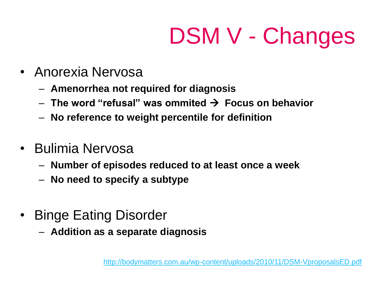# DSM V - Changes

- Anorexia Nervosa
	- **Amenorrhea not required for diagnosis**
	- **The word "refusal" was ommited Focus on behavior**
	- **No reference to weight percentile for definition**
- Bulimia Nervosa
	- **Number of episodes reduced to at least once a week**
	- **No need to specify a subtype**
- Binge Eating Disorder
	- **Addition as a separate diagnosis**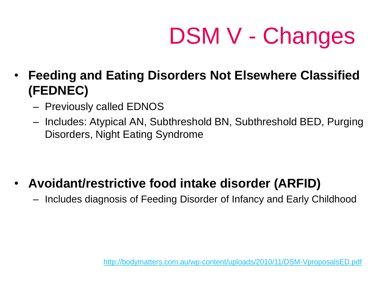DSM V - Changes

- **Feeding and Eating Disorders Not Elsewhere Classified (FEDNEC)**
	- Previously called EDNOS
	- Includes: Atypical AN, Subthreshold BN, Subthreshold BED, Purging Disorders, Night Eating Syndrome

- **Avoidant/restrictive food intake disorder (ARFID)**
	- Includes diagnosis of Feeding Disorder of Infancy and Early Childhood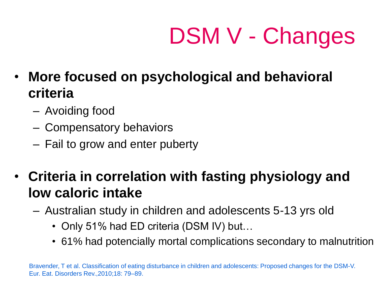# DSM V - Changes

- **More focused on psychological and behavioral criteria**
	- Avoiding food
	- Compensatory behaviors
	- Fail to grow and enter puberty
- **Criteria in correlation with fasting physiology and low caloric intake**
	- Australian study in children and adolescents 5-13 yrs old
		- Only 51% had ED criteria (DSM IV) but...
		- 61% had potencially mortal complications secondary to malnutrition

Bravender, T et al. Classification of eating disturbance in children and adolescents: Proposed changes for the DSM-V. Eur. Eat. Disorders Rev.,2010;18: 79–89.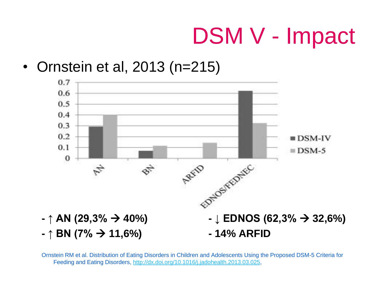## DSM V - Impact

#### • Ornstein et al, 2013 (n=215)



Ornstein RM et al. Distribution of Eating Disorders in Children and Adolescents Using the Proposed DSM-5 Criteria for Feeding and Eating Disorders, [http://dx.doi.org/10.1016/j.jadohealth.2013.03.025,](http://dx.doi.org/10.1016/j.jadohealth.2013.03.025)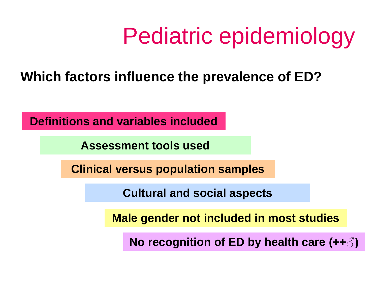#### **Which factors influence the prevalence of ED?**

**Definitions and variables included**

**Assessment tools used**

**Clinical versus population samples**

**Cultural and social aspects**

**Male gender not included in most studies**

**No recognition of ED by health care (++♂)**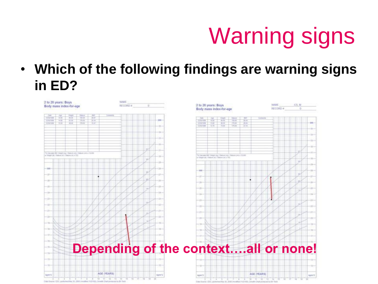• **Which of the following findings are warning signs in ED?**

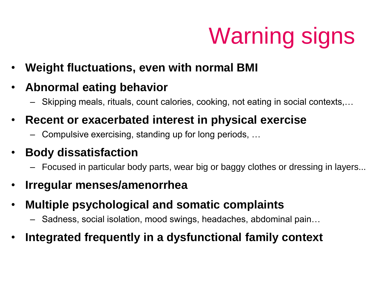- **Weight fluctuations, even with normal BMI**
- **Abnormal eating behavior**
	- Skipping meals, rituals, count calories, cooking, not eating in social contexts,…
- **Recent or exacerbated interest in physical exercise**
	- Compulsive exercising, standing up for long periods, …
- **Body dissatisfaction**
	- Focused in particular body parts, wear big or baggy clothes or dressing in layers...
- **Irregular menses/amenorrhea**
- **Multiple psychological and somatic complaints**
	- Sadness, social isolation, mood swings, headaches, abdominal pain…
- **Integrated frequently in a dysfunctional family context**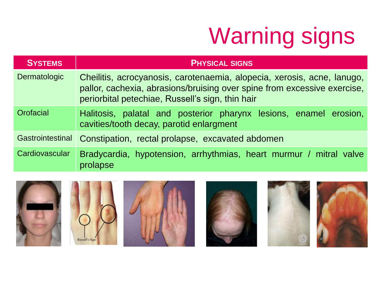| <b>SYSTEMS</b>   | <b>PHYSICAL SIGNS</b>                                                                                                                                                                                   |  |  |  |  |
|------------------|---------------------------------------------------------------------------------------------------------------------------------------------------------------------------------------------------------|--|--|--|--|
| Dermatologic     | Cheilitis, acrocyanosis, carotenaemia, alopecia, xerosis, acne, lanugo,<br>pallor, cachexia, abrasions/bruising over spine from excessive exercise,<br>periorbital petechiae, Russell's sign, thin hair |  |  |  |  |
| Orofacial        | Halitosis, palatal and posterior pharynx lesions, enamel erosion,<br>cavities/tooth decay, parotid enlargment                                                                                           |  |  |  |  |
| Gastrointestinal | Constipation, rectal prolapse, excavated abdomen                                                                                                                                                        |  |  |  |  |
| Cardiovascular   | Bradycardia, hypotension, arrhythmias, heart murmur / mitral valve<br>prolapse                                                                                                                          |  |  |  |  |











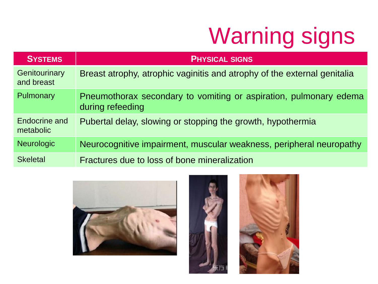| <b>SYSTEMS</b>              | <b>PHYSICAL SIGNS</b>                                                                 |
|-----------------------------|---------------------------------------------------------------------------------------|
| Genitourinary<br>and breast | Breast atrophy, atrophic vaginitis and atrophy of the external genitalia              |
| Pulmonary                   | Pneumothorax secondary to vomiting or aspiration, pulmonary edema<br>during refeeding |
| Endocrine and<br>metabolic  | Pubertal delay, slowing or stopping the growth, hypothermia                           |
| <b>Neurologic</b>           | Neurocognitive impairment, muscular weakness, peripheral neuropathy                   |
| <b>Skeletal</b>             | Fractures due to loss of bone mineralization                                          |





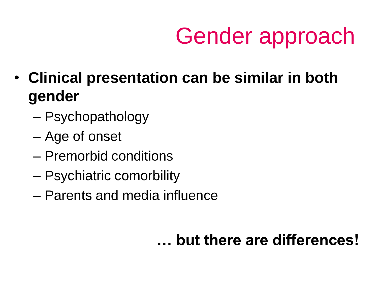- **Clinical presentation can be similar in both gender**
	- Psychopathology
	- Age of onset
	- Premorbid conditions
	- Psychiatric comorbility
	- Parents and media influence

### **… but there are differences!**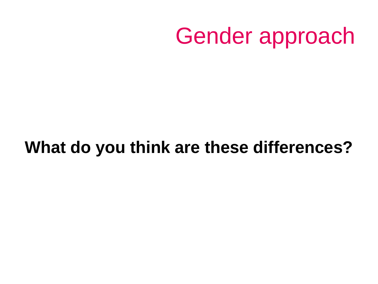### **What do you think are these differences?**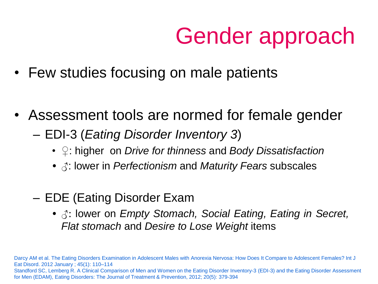- Few studies focusing on male patients
- Assessment tools are normed for female gender
	- EDI-3 (*Eating Disorder Inventory 3*)
		- ♀: higher on *Drive for thinness* and *Body Dissatisfaction*
		- $\beta$ : lower in *Perfectionism* and *Maturity Fears* subscales
	- EDE (Eating Disorder Exam
		- ♂: lower on *Empty Stomach, Social Eating, Eating in Secret, Flat stomach* and *Desire to Lose Weight* items

Darcy AM et al. The Eating Disorders Examination in Adolescent Males with Anorexia Nervosa: How Does It Compare to Adolescent Females? Int J Eat Disord. 2012 January ; 45(1): 110–114 Standford SC, Lemberg R. A Clinical Comparison of Men and Women on the Eating Disorder Inventory-3 (EDI-3) and the Eating Disorder Assessment for Men (EDAM), Eating Disorders: The Journal of Treatment & Prevention, 2012; 20(5): 379-394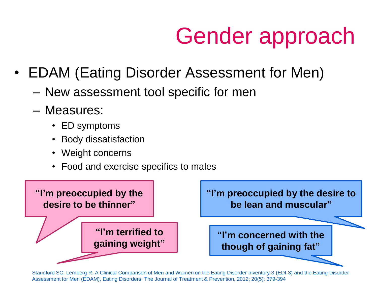- EDAM (Eating Disorder Assessment for Men)
	- New assessment tool specific for men
	- Measures:
		- ED symptoms
		- Body dissatisfaction
		- Weight concerns
		- Food and exercise specifics to males



Standford SC, Lemberg R. A Clinical Comparison of Men and Women on the Eating Disorder Inventory-3 (EDI-3) and the Eating Disorder Assessment for Men (EDAM), Eating Disorders: The Journal of Treatment & Prevention, 2012; 20(5): 379-394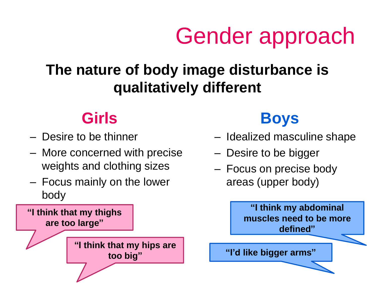### **The nature of body image disturbance is qualitatively different**

### **Girls**

- Desire to be thinner
- More concerned with precise weights and clothing sizes
- Focus mainly on the lower body



### **Boys**

- Idealized masculine shape
- Desire to be bigger
- Focus on precise body areas (upper body)

**"I think my abdominal muscles need to be more defined"**

**"I'd like bigger arms"**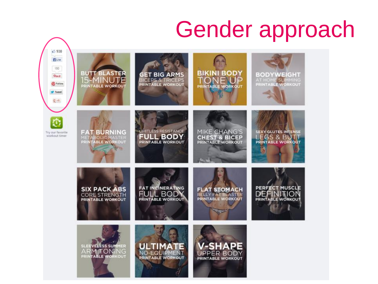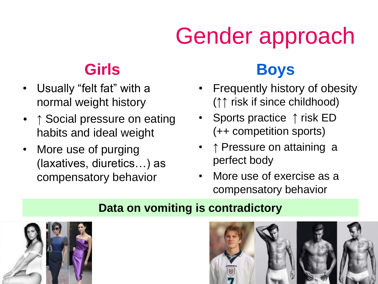### **Girls**

- Usually "felt fat" with a normal weight history
- ↑ Social pressure on eating habits and ideal weight
- More use of purging (laxatives, diuretics…) as compensatory behavior

### **Boys**

- Frequently history of obesity (↑↑ risk if since childhood)
- Sports practice ↑ risk ED (++ competition sports)
- ↑ Pressure on attaining a perfect body
- More use of exercise as a compensatory behavior

#### **Data on vomiting is contradictory**



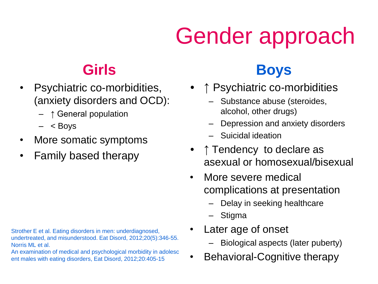### **Girls**

- Psychiatric co-morbidities, (anxiety disorders and OCD):
	- ↑ General population
	- $<$  Boys
- More somatic symptoms
- Family based therapy

Strother E et al. Eating disorders in men: underdiagnosed, undertreated, and misunderstood. Eat Disord, 2012;20(5):346-55. Norris ML et al.

An examination of medical and psychological morbidity in adolesc ent males with eating disorders, Eat Disord, 2012;20:405-15

### **Boys**

- ↑ Psychiatric co-morbidities
	- Substance abuse (steroides, alcohol, other drugs)
	- Depression and anxiety disorders
	- Suicidal ideation
- ↑ Tendency to declare as asexual or homosexual/bisexual
- More severe medical complications at presentation
	- Delay in seeking healthcare
	- Stigma
- Later age of onset
	- Biological aspects (later puberty)
- Behavioral-Cognitive therapy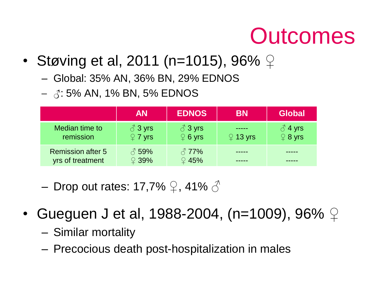## **Outcomes**

- Støving et al, 2011 (n=1015), 96%  $\varphi$ 
	- Global: 35% AN, 36% BN, 29% EDNOS
	- $\delta$ : 5% AN, 1% BN, 5% EDNOS

|                                              | <b>AN</b>                             | <b>EDNOS</b>                           | <b>BN</b>      | <b>Global</b>                              |
|----------------------------------------------|---------------------------------------|----------------------------------------|----------------|--------------------------------------------|
| Median time to<br>remission                  | $\delta$ 3 yrs<br>$\mathcal{Q}$ 7 yrs | $\delta$ 3 yrs<br>$\circledcirc$ 6 yrs | $\circ$ 13 yrs | $\frac{3}{2}$ 4 yrs<br>$\frac{2}{7}$ 8 yrs |
| <b>Remission after 5</b><br>yrs of treatment | $\sqrt[3]{59\%}$<br>$\Omega$ 39%      | $\sqrt[3]{77\%}$<br>$\Omega$ 45%       |                |                                            |

- Drop out rates: 17,7%  $\mathcal{Q}$ , 41%  $\mathcal{S}$
- Gueguen J et al, 1988-2004, (n=1009), 96%  $\varphi$ 
	- Similar mortality
	- Precocious death post-hospitalization in males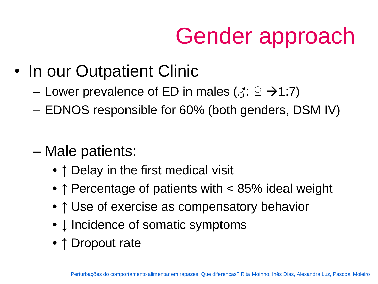- In our Outpatient Clinic
	- Lower prevalence of ED in males ( $\Diamond$ :  $\Diamond$   $\rightarrow$  1:7)
	- EDNOS responsible for 60% (both genders, DSM IV)
	- Male patients:
		- ↑ Delay in the first medical visit
		- ↑ Percentage of patients with < 85% ideal weight
		- ↑ Use of exercise as compensatory behavior
		- Incidence of somatic symptoms
		- ↑ Dropout rate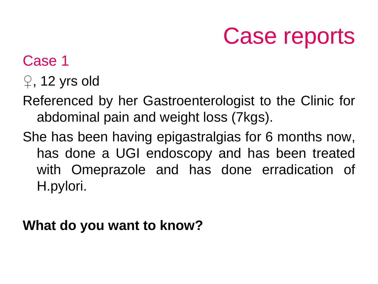## Case reports

### Case 1

- $\varphi$ , 12 yrs old
- Referenced by her Gastroenterologist to the Clinic for abdominal pain and weight loss (7kgs).
- She has been having epigastralgias for 6 months now, has done a UGI endoscopy and has been treated with Omeprazole and has done erradication of H.pylori.

#### **What do you want to know?**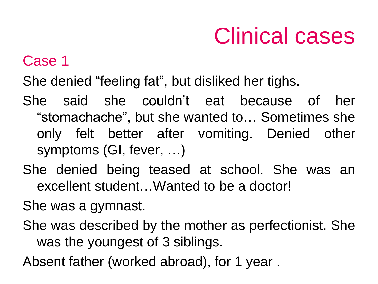#### Case 1

She denied "feeling fat", but disliked her tighs.

She said she couldn't eat because of her "stomachache", but she wanted to… Sometimes she only felt better after vomiting. Denied other symptoms (GI, fever, …)

She denied being teased at school. She was an excellent student…Wanted to be a doctor!

She was a gymnast.

She was described by the mother as perfectionist. She was the youngest of 3 siblings.

Absent father (worked abroad), for 1 year .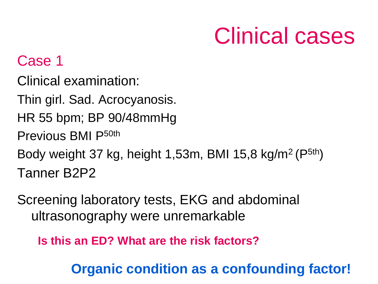#### Case 1

Clinical examination:

- Thin girl. Sad. Acrocyanosis.
- HR 55 bpm; BP 90/48mmHg
- Previous BMI P50th
- Body weight 37 kg, height 1,53m, BMI 15,8 kg/m<sup>2</sup> (P<sup>5th</sup>) Tanner B2P2
- Screening laboratory tests, EKG and abdominal ultrasonography were unremarkable

**Is this an ED? What are the risk factors?**

**Organic condition as a confounding factor!**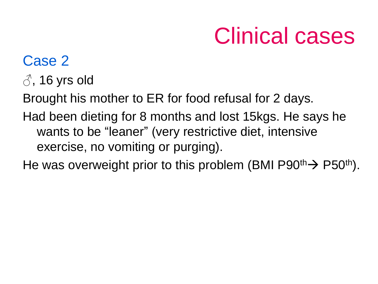#### Case 2

 $\beta$ , 16 yrs old

Brought his mother to ER for food refusal for 2 days.

Had been dieting for 8 months and lost 15kgs. He says he wants to be "leaner" (very restrictive diet, intensive exercise, no vomiting or purging).

He was overweight prior to this problem (BMI P90<sup>th</sup>) P50<sup>th</sup>).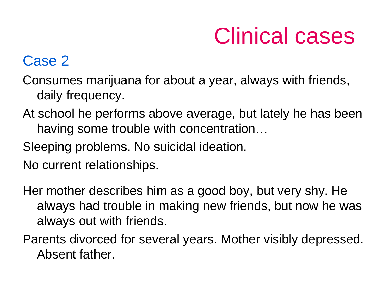#### Case 2

Consumes marijuana for about a year, always with friends, daily frequency.

- At school he performs above average, but lately he has been having some trouble with concentration…
- Sleeping problems. No suicidal ideation.
- No current relationships.
- Her mother describes him as a good boy, but very shy. He always had trouble in making new friends, but now he was always out with friends.
- Parents divorced for several years. Mother visibly depressed. Absent father.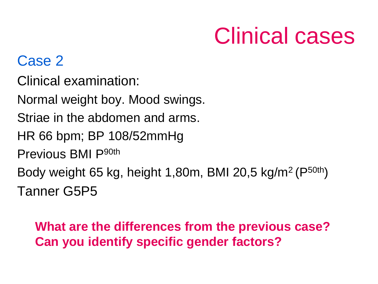#### Case 2

Clinical examination:

Normal weight boy. Mood swings.

Striae in the abdomen and arms.

HR 66 bpm; BP 108/52mmHg

Previous BMI P90th

Body weight 65 kg, height 1,80m, BMI 20,5 kg/m<sup>2</sup> (P50th) Tanner G5P5

#### **What are the differences from the previous case? Can you identify specific gender factors?**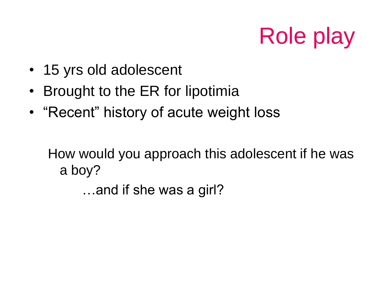# Role play

- 15 yrs old adolescent
- Brought to the ER for lipotimia
- "Recent" history of acute weight loss

How would you approach this adolescent if he was a boy?

…and if she was a girl?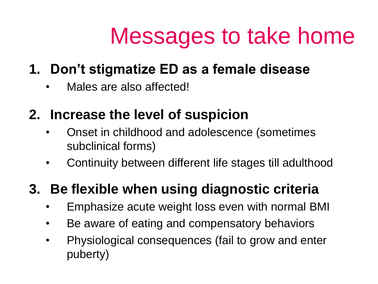## Messages to take home

### **1. Don't stigmatize ED as a female disease**

Males are also affected!

#### **2. Increase the level of suspicion**

- Onset in childhood and adolescence (sometimes subclinical forms)
- Continuity between different life stages till adulthood

### **3. Be flexible when using diagnostic criteria**

- Emphasize acute weight loss even with normal BMI
- Be aware of eating and compensatory behaviors
- Physiological consequences (fail to grow and enter puberty)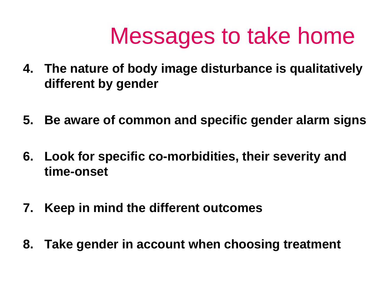## Messages to take home

- **4. The nature of body image disturbance is qualitatively different by gender**
- **5. Be aware of common and specific gender alarm signs**
- **6. Look for specific co-morbidities, their severity and time-onset**
- **7. Keep in mind the different outcomes**
- **8. Take gender in account when choosing treatment**